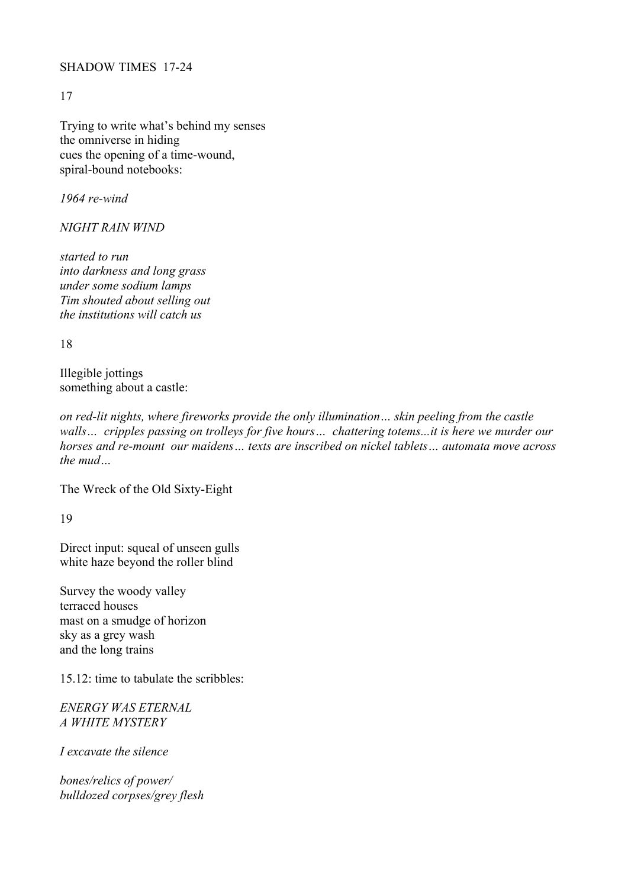## SHADOW TIMES 17-24

17

Trying to write what's behind my senses the omniverse in hiding cues the opening of a time-wound, spiral-bound notebooks:

*1964 re-wind*

*NIGHT RAIN WIND* 

*started to run into darkness and long grass under some sodium lamps Tim shouted about selling out the institutions will catch us*

18

Illegible jottings something about a castle:

*on red-lit nights, where fireworks provide the only illumination… skin peeling from the castle walls… cripples passing on trolleys for five hours… chattering totems...it is here we murder our horses and re-mount our maidens… texts are inscribed on nickel tablets… automata move across the mud…*

The Wreck of the Old Sixty-Eight

19

Direct input: squeal of unseen gulls white haze beyond the roller blind

Survey the woody valley terraced houses mast on a smudge of horizon sky as a grey wash and the long trains

15.12: time to tabulate the scribbles:

*ENERGY WAS ETERNAL A WHITE MYSTERY*

*I excavate the silence* 

*bones/relics of power/ bulldozed corpses/grey flesh*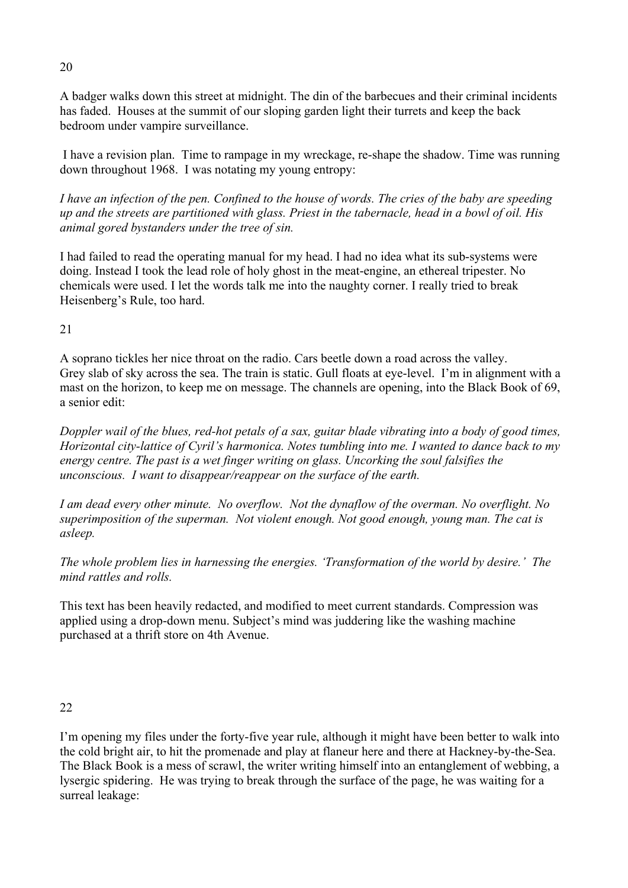A badger walks down this street at midnight. The din of the barbecues and their criminal incidents has faded. Houses at the summit of our sloping garden light their turrets and keep the back bedroom under vampire surveillance.

 I have a revision plan. Time to rampage in my wreckage, re-shape the shadow. Time was running down throughout 1968. I was notating my young entropy:

*I have an infection of the pen. Confined to the house of words. The cries of the baby are speeding up and the streets are partitioned with glass. Priest in the tabernacle, head in a bowl of oil. His animal gored bystanders under the tree of sin.* 

I had failed to read the operating manual for my head. I had no idea what its sub-systems were doing. Instead I took the lead role of holy ghost in the meat-engine, an ethereal tripester. No chemicals were used. I let the words talk me into the naughty corner. I really tried to break Heisenberg's Rule, too hard.

21

A soprano tickles her nice throat on the radio. Cars beetle down a road across the valley. Grey slab of sky across the sea. The train is static. Gull floats at eye-level. I'm in alignment with a mast on the horizon, to keep me on message. The channels are opening, into the Black Book of 69, a senior edit:

*Doppler wail of the blues, red-hot petals of a sax, guitar blade vibrating into a body of good times, Horizontal city-lattice of Cyril's harmonica. Notes tumbling into me. I wanted to dance back to my energy centre. The past is a wet finger writing on glass. Uncorking the soul falsifies the unconscious. I want to disappear/reappear on the surface of the earth.*

*I am dead every other minute. No overflow. Not the dynaflow of the overman. No overflight. No superimposition of the superman. Not violent enough. Not good enough, young man. The cat is asleep.*

*The whole problem lies in harnessing the energies. 'Transformation of the world by desire.' The mind rattles and rolls.*

This text has been heavily redacted, and modified to meet current standards. Compression was applied using a drop-down menu. Subject's mind was juddering like the washing machine purchased at a thrift store on 4th Avenue.

22

I'm opening my files under the forty-five year rule, although it might have been better to walk into the cold bright air, to hit the promenade and play at flaneur here and there at Hackney-by-the-Sea. The Black Book is a mess of scrawl, the writer writing himself into an entanglement of webbing, a lysergic spidering. He was trying to break through the surface of the page, he was waiting for a surreal leakage:

20